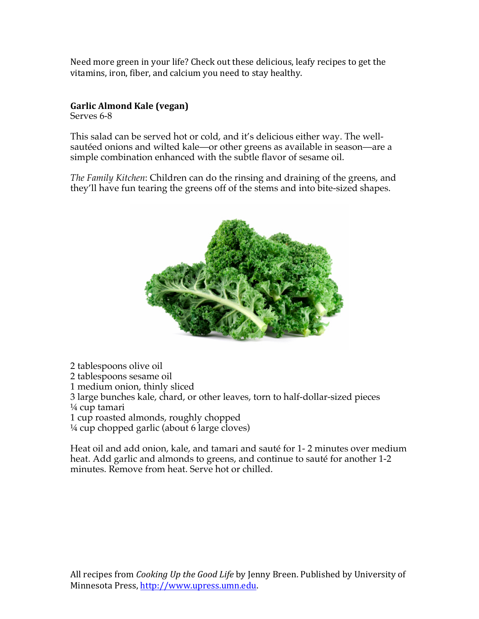Need more green in your life? Check out these delicious, leafy recipes to get the vitamins, iron, fiber, and calcium you need to stay healthy.

## **Garlic Almond Kale (vegan)**

Serves 6-8

This salad can be served hot or cold, and it's delicious either way. The wellsautéed onions and wilted kale—or other greens as available in season—are a simple combination enhanced with the subtle flavor of sesame oil.

*The Family Kitchen*: Children can do the rinsing and draining of the greens, and they'll have fun tearing the greens off of the stems and into bite-sized shapes.



2 tablespoons olive oil 2 tablespoons sesame oil 1 medium onion, thinly sliced 3 large bunches kale, chard, or other leaves, torn to half-dollar-sized pieces ¼ cup tamari 1 cup roasted almonds, roughly chopped ¼ cup chopped garlic (about 6 large cloves)

Heat oil and add onion, kale, and tamari and sauté for 1- 2 minutes over medium heat. Add garlic and almonds to greens, and continue to sauté for another 1-2 minutes. Remove from heat. Serve hot or chilled.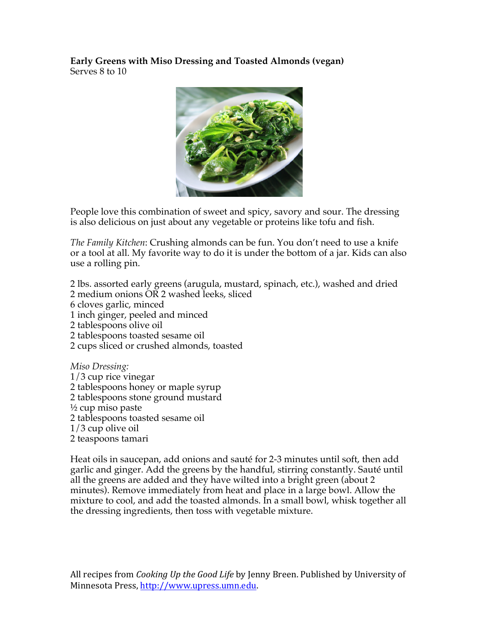**Early Greens with Miso Dressing and Toasted Almonds (vegan)**  Serves 8 to 10



People love this combination of sweet and spicy, savory and sour. The dressing is also delicious on just about any vegetable or proteins like tofu and fish.

*The Family Kitchen*: Crushing almonds can be fun. You don't need to use a knife or a tool at all. My favorite way to do it is under the bottom of a jar. Kids can also use a rolling pin.

2 lbs. assorted early greens (arugula, mustard, spinach, etc.), washed and dried 2 medium onions OR 2 washed leeks, sliced 6 cloves garlic, minced 1 inch ginger, peeled and minced 2 tablespoons olive oil 2 tablespoons toasted sesame oil 2 cups sliced or crushed almonds, toasted *Miso Dressing:* 1/3 cup rice vinegar

2 tablespoons honey or maple syrup 2 tablespoons stone ground mustard

- ½ cup miso paste
- 2 tablespoons toasted sesame oil
- 1/3 cup olive oil
- 2 teaspoons tamari

Heat oils in saucepan, add onions and sauté for 2-3 minutes until soft, then add garlic and ginger. Add the greens by the handful, stirring constantly. Sauté until all the greens are added and they have wilted into a bright green (about 2 minutes). Remove immediately from heat and place in a large bowl. Allow the mixture to cool, and add the toasted almonds. In a small bowl, whisk together all the dressing ingredients, then toss with vegetable mixture.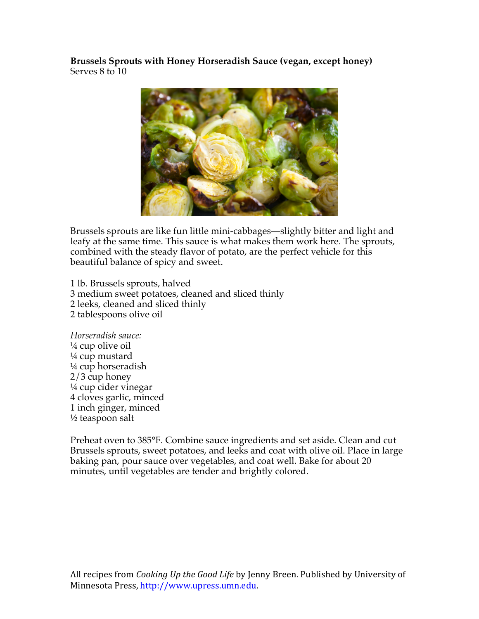**Brussels Sprouts with Honey Horseradish Sauce (vegan, except honey)** Serves 8 to 10



Brussels sprouts are like fun little mini-cabbages—slightly bitter and light and leafy at the same time. This sauce is what makes them work here. The sprouts, combined with the steady flavor of potato, are the perfect vehicle for this beautiful balance of spicy and sweet.

1 lb. Brussels sprouts, halved 3 medium sweet potatoes, cleaned and sliced thinly 2 leeks, cleaned and sliced thinly 2 tablespoons olive oil

*Horseradish sauce:* ¼ cup olive oil ¼ cup mustard  $\frac{1}{4}$  cup horseradish 2/3 cup honey ¼ cup cider vinegar 4 cloves garlic, minced 1 inch ginger, minced ½ teaspoon salt

Preheat oven to 385°F. Combine sauce ingredients and set aside. Clean and cut Brussels sprouts, sweet potatoes, and leeks and coat with olive oil. Place in large baking pan, pour sauce over vegetables, and coat well. Bake for about 20 minutes, until vegetables are tender and brightly colored.